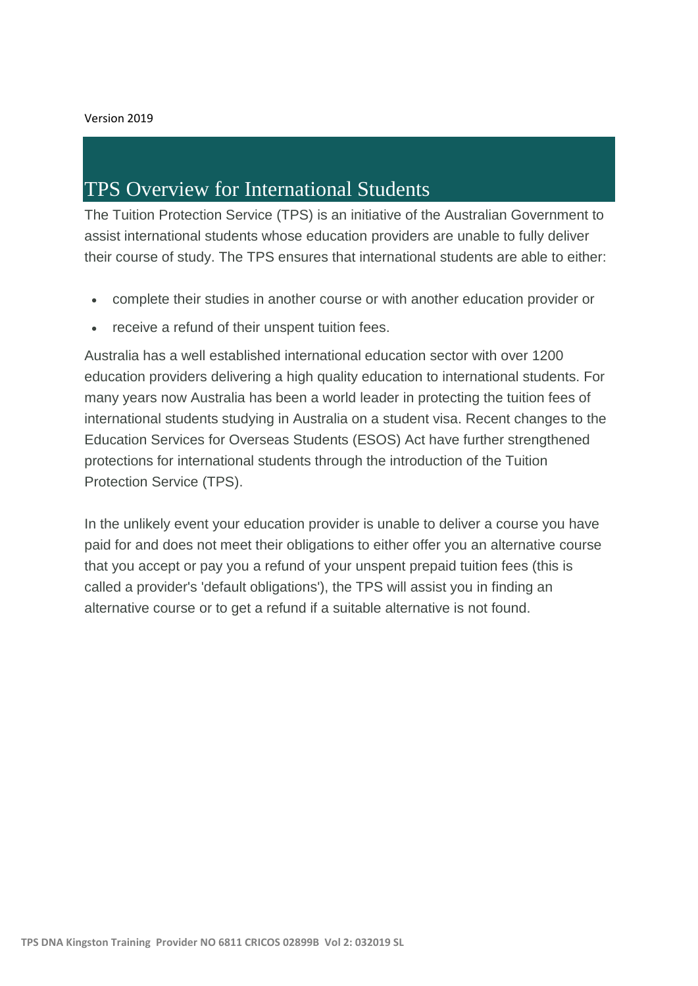## TPS Overview for International Students

The Tuition Protection Service (TPS) is an initiative of the Australian Government to assist international students whose education providers are unable to fully deliver their course of study. The TPS ensures that international students are able to either:

- complete their studies in another course or with another education provider or
- receive a refund of their unspent tuition fees.

Australia has a well established international education sector with over 1200 education providers delivering a high quality education to international students. For many years now Australia has been a world leader in protecting the tuition fees of international students studying in Australia on a student visa. Recent changes to the Education Services for Overseas Students (ESOS) Act have further strengthened protections for international students through the introduction of the Tuition Protection Service (TPS).

In the unlikely event your education provider is unable to deliver a course you have paid for and does not meet their obligations to either offer you an alternative course that you accept or pay you a refund of your unspent prepaid tuition fees (this is called a provider's 'default obligations'), the TPS will assist you in finding an alternative course or to get a refund if a suitable alternative is not found.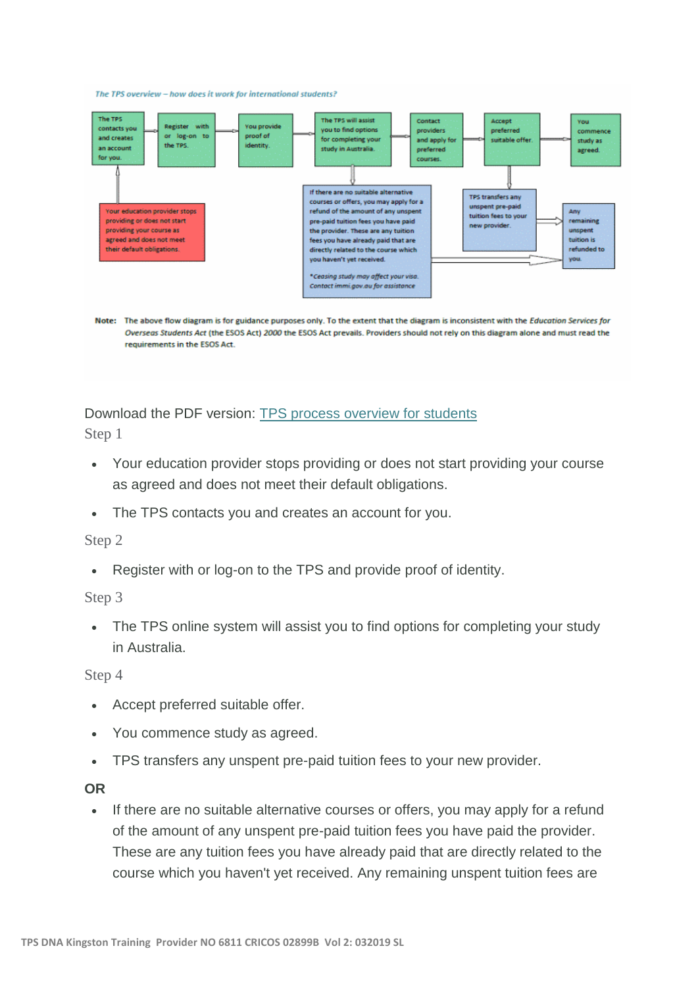The TPS overview -- how does it work for international students?



Overseas Students Act (the ESOS Act) 2000 the ESOS Act prevails. Providers should not rely on this diagram alone and must read the requirements in the ESOS Act.

Download the PDF version: TPS process [overview](https://tps.gov.au/StaticContent/GetDocument/f1c9d680-b0be-41ba-accc-4dda98ccbeaa) for students Step 1

- Your education provider stops providing or does not start providing your course as agreed and does not meet their default obligations.
- The TPS contacts you and creates an account for you.

## Step 2

Register with or log-on to the TPS and provide proof of identity.

## Step 3

• The TPS online system will assist you to find options for completing your study in Australia.

Step 4

- Accept preferred suitable offer.
- You commence study as agreed.
- TPS transfers any unspent pre-paid tuition fees to your new provider.

## **OR**

• If there are no suitable alternative courses or offers, you may apply for a refund of the amount of any unspent pre-paid tuition fees you have paid the provider. These are any tuition fees you have already paid that are directly related to the course which you haven't yet received. Any remaining unspent tuition fees are